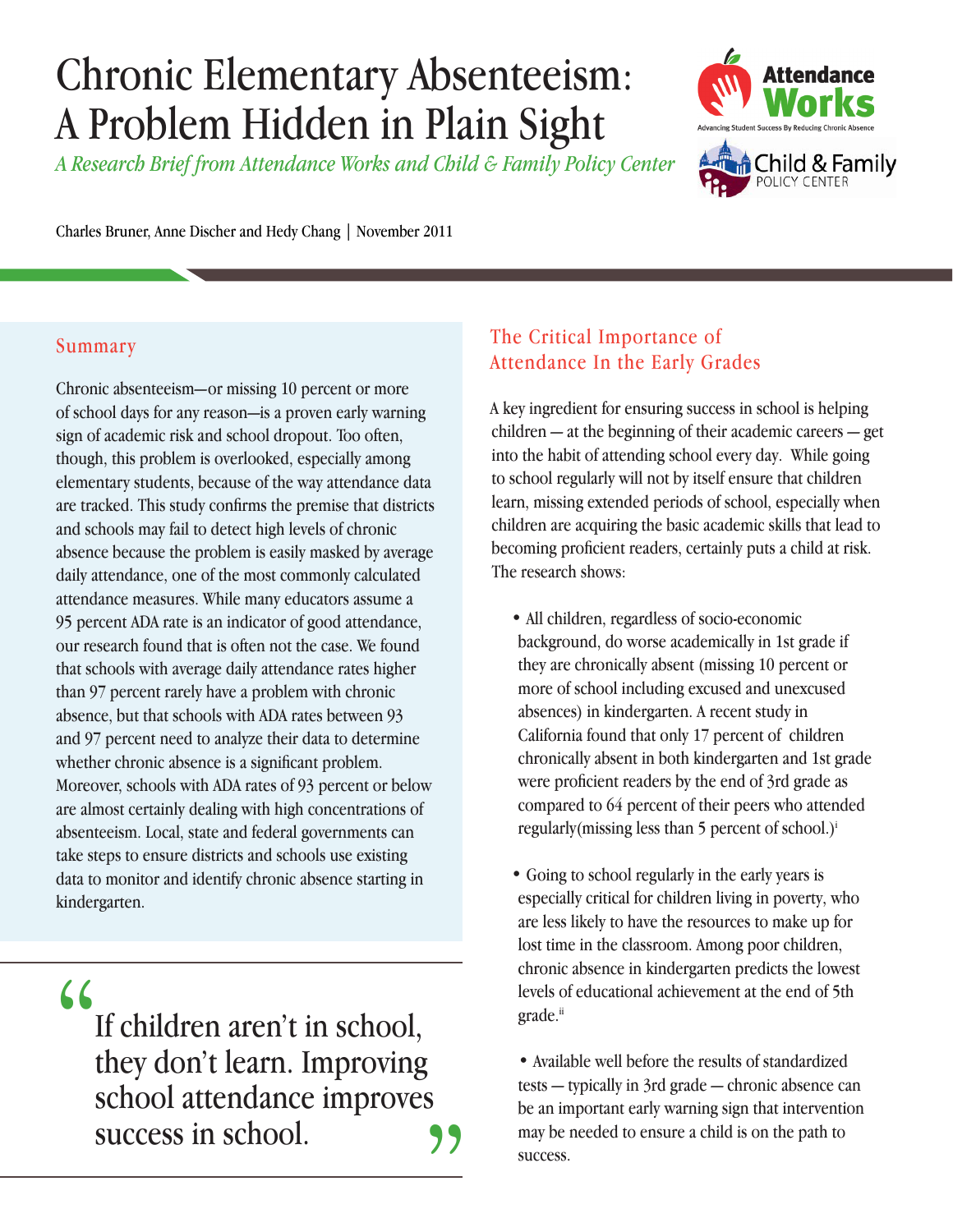# Chronic Elementary Absenteeism: A Problem Hidden in Plain Sight

*A Research Brief from Attendance Works and Child & Family Policy Center*



Charles Bruner, Anne Discher and Hedy Chang | November 2011

### Summary

Chronic absenteeism—or missing 10 percent or more of school days for any reason—is a proven early warning sign of academic risk and school dropout. Too often, though, this problem is overlooked, especially among elementary students, because of the way attendance data are tracked. This study confirms the premise that districts and schools may fail to detect high levels of chronic absence because the problem is easily masked by average daily attendance, one of the most commonly calculated attendance measures. While many educators assume a 95 percent ADA rate is an indicator of good attendance, our research found that is often not the case. We found that schools with average daily attendance rates higher than 97 percent rarely have a problem with chronic absence, but that schools with ADA rates between 93 and 97 percent need to analyze their data to determine whether chronic absence is a significant problem. Moreover, schools with ADA rates of 93 percent or below are almost certainly dealing with high concentrations of absenteeism. Local, state and federal governments can take steps to ensure districts and schools use existing data to monitor and identify chronic absence starting in kindergarten.

"

If children aren't in school, they don't learn. Improving school attendance improves success in school.  $\frac{1}{\sqrt{2}}$ 

## The Critical Importance of Attendance In the Early Grades

A key ingredient for ensuring success in school is helping children — at the beginning of their academic careers — get into the habit of attending school every day. While going to school regularly will not by itself ensure that children learn, missing extended periods of school, especially when children are acquiring the basic academic skills that lead to becoming proficient readers, certainly puts a child at risk. The research shows:

- All children, regardless of socio-economic background, do worse academically in 1st grade if they are chronically absent (missing 10 percent or more of school including excused and unexcused absences) in kindergarten. A recent study in California found that only 17 percent of children chronically absent in both kindergarten and 1st grade were proficient readers by the end of 3rd grade as compared to 64 percent of their peers who attended regularly(missing less than 5 percent of school.)i
- Going to school regularly in the early years is especially critical for children living in poverty, who are less likely to have the resources to make up for lost time in the classroom. Among poor children, chronic absence in kindergarten predicts the lowest levels of educational achievement at the end of 5th grade.<sup>ii</sup>

• Available well before the results of standardized tests — typically in 3rd grade — chronic absence can be an important early warning sign that intervention may be needed to ensure a child is on the path to success.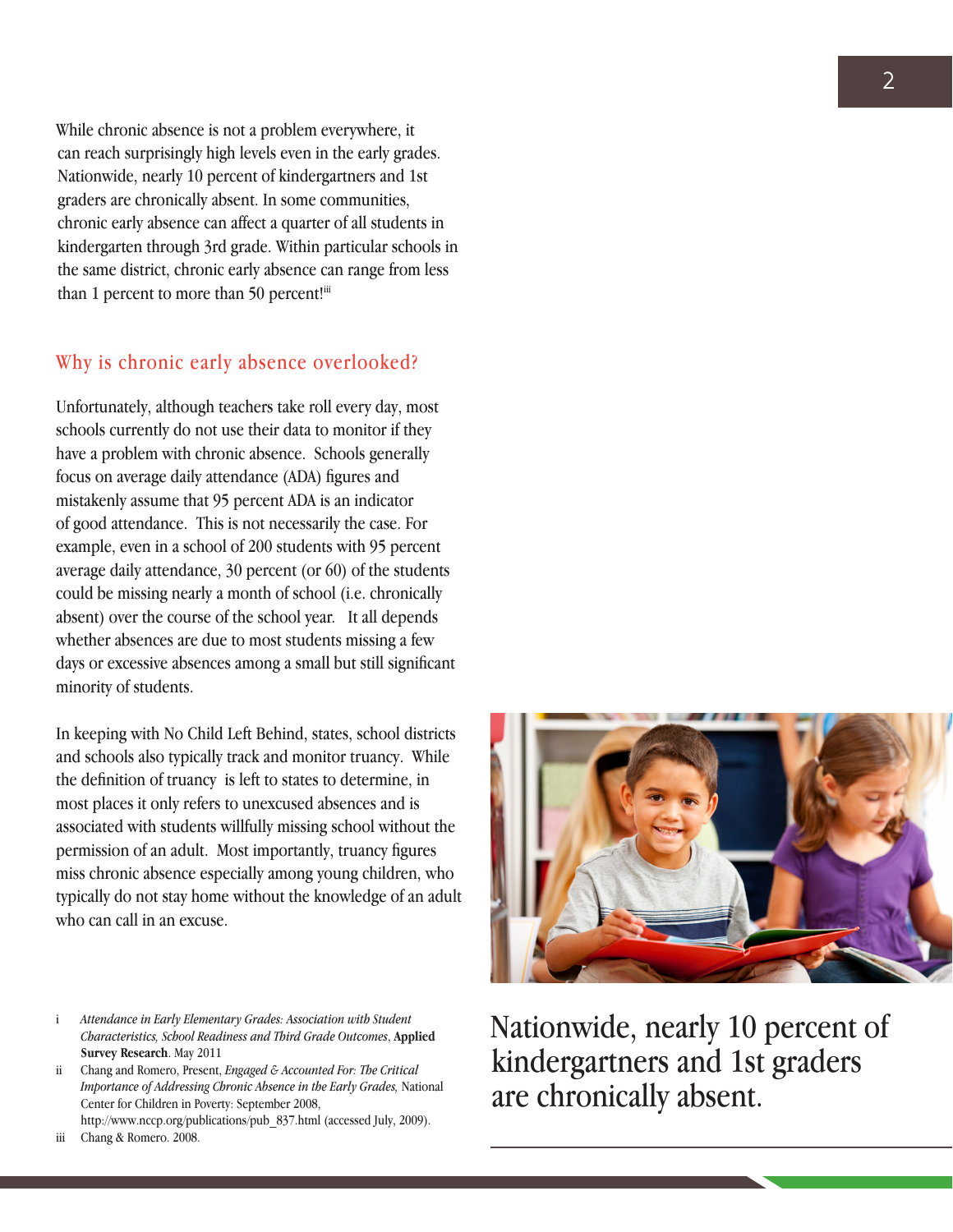While chronic absence is not a problem everywhere, it can reach surprisingly high levels even in the early grades. Nationwide, nearly 10 percent of kindergartners and 1st graders are chronically absent. In some communities, chronic early absence can affect a quarter of all students in kindergarten through 3rd grade. Within particular schools in the same district, chronic early absence can range from less than 1 percent to more than 50 percent!iii

### Why is chronic early absence overlooked?

Unfortunately, although teachers take roll every day, most schools currently do not use their data to monitor if they have a problem with chronic absence. Schools generally focus on average daily attendance (ADA) figures and mistakenly assume that 95 percent ADA is an indicator of good attendance. This is not necessarily the case. For example, even in a school of 200 students with 95 percent average daily attendance, 30 percent (or 60) of the students could be missing nearly a month of school (i.e. chronically absent) over the course of the school year. It all depends whether absences are due to most students missing a few days or excessive absences among a small but still significant minority of students.

In keeping with No Child Left Behind, states, school districts and schools also typically track and monitor truancy. While the definition of truancy is left to states to determine, in most places it only refers to unexcused absences and is associated with students willfully missing school without the permission of an adult. Most importantly, truancy figures miss chronic absence especially among young children, who typically do not stay home without the knowledge of an adult who can call in an excuse.

ii Chang and Romero, Present, *Engaged & Accounted For: The Critical Importance of Addressing Chronic Absence in the Early Grades,* National Center for Children in Poverty: September 2008, http://www.nccp.org/publications/pub\_837.html (accessed July, 2009).

iii Chang & Romero. 2008.



Nationwide, nearly 10 percent of kindergartners and 1st graders are chronically absent.

i *Attendance in Early Elementary Grades: Association with Student Characteristics, School Readiness and Third Grade Outcomes*, **Applied Survey Research**. May 2011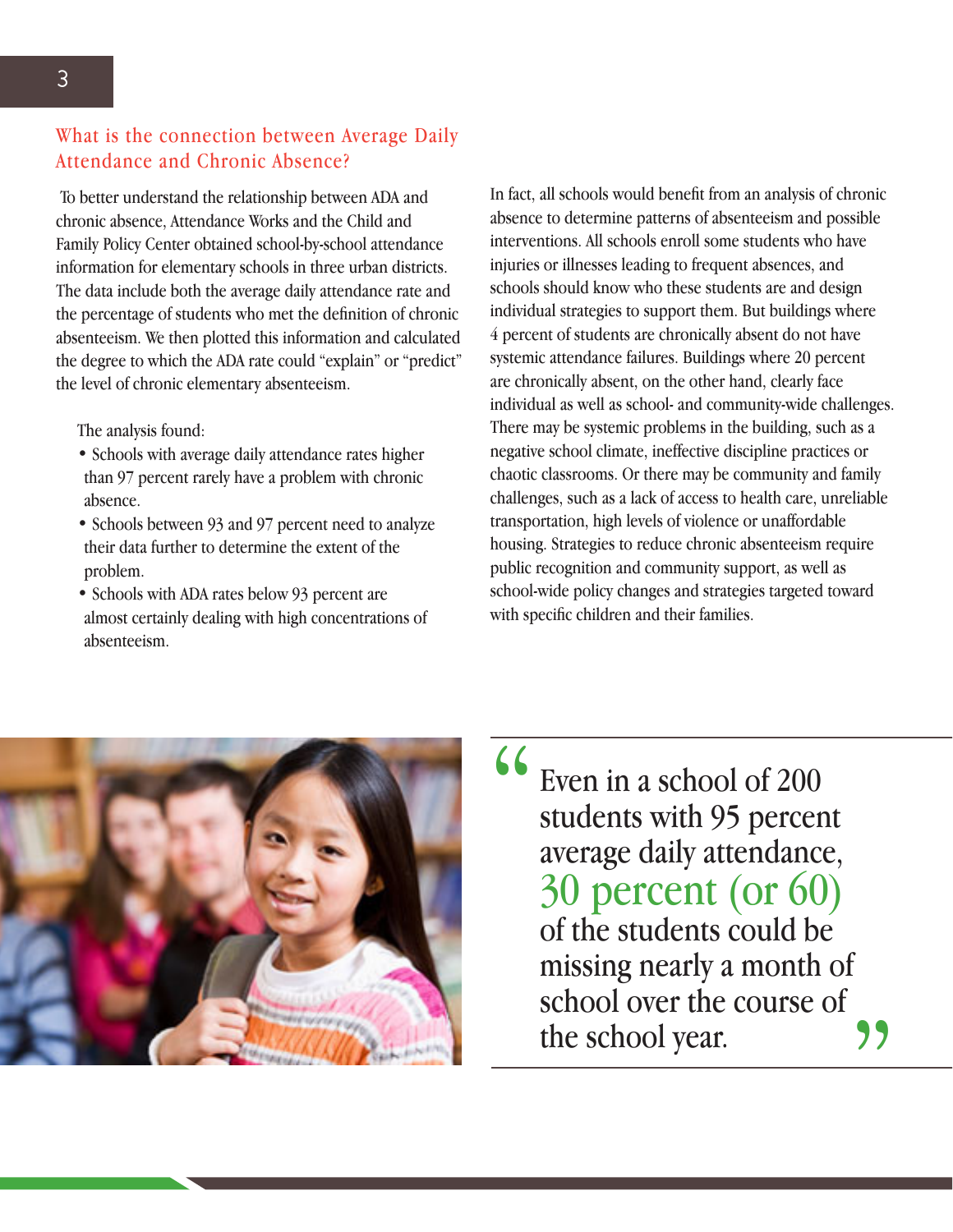To better understand the relationship between ADA and chronic absence, Attendance Works and the Child and Family Policy Center obtained school-by-school attendance information for elementary schools in three urban districts. The data include both the average daily attendance rate and the percentage of students who met the definition of chronic absenteeism. We then plotted this information and calculated the degree to which the ADA rate could "explain" or "predict" the level of chronic elementary absenteeism.

The analysis found:

- Schools with average daily attendance rates higher than 97 percent rarely have a problem with chronic absence.
- Schools between 93 and 97 percent need to analyze their data further to determine the extent of the problem.
- Schools with ADA rates below 93 percent are almost certainly dealing with high concentrations of absenteeism.

In fact, all schools would benefit from an analysis of chronic absence to determine patterns of absenteeism and possible interventions. All schools enroll some students who have injuries or illnesses leading to frequent absences, and schools should know who these students are and design individual strategies to support them. But buildings where 4 percent of students are chronically absent do not have systemic attendance failures. Buildings where 20 percent are chronically absent, on the other hand, clearly face individual as well as school- and community-wide challenges. There may be systemic problems in the building, such as a negative school climate, ineffective discipline practices or chaotic classrooms. Or there may be community and family challenges, such as a lack of access to health care, unreliable transportation, high levels of violence or unaffordable housing. Strategies to reduce chronic absenteeism require public recognition and community support, as well as school-wide policy changes and strategies targeted toward with specific children and their families.



Even in a school of 200 students with 95 percent average daily attendance, 30 percent (or 60) of the students could be missing nearly a month of school over the course of the school year. " "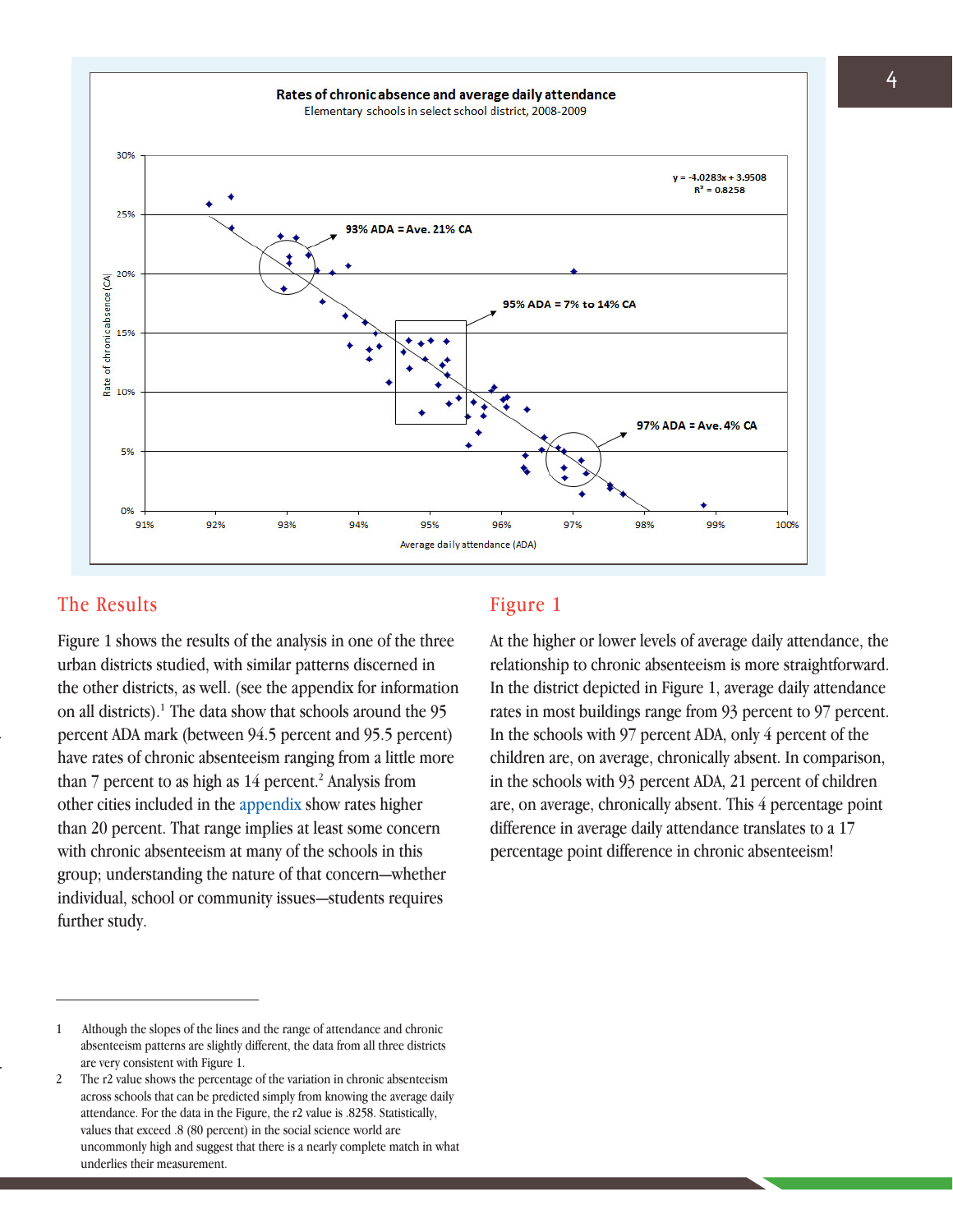

#### The Results Figure 1

Figure 1 shows the results of the analysis in one of the three urban districts studied, with similar patterns discerned in the other districts, as well. (see the appendix for information on all districts).<sup>1</sup> The data show that schools around the  $95$ percent ADA mark (between 94.5 percent and 95.5 percent) have rates of chronic absenteeism ranging from a little more than  $7$  percent to as high as  $14$  percent.<sup>2</sup> Analysis from other cities included in the appendix show rates higher than 20 percent. That range implies at least some concern with chronic absenteeism at many of the schools in this group; understanding the nature of that concern—whether individual, school or community issues—students requires further study.

At the higher or lower levels of average daily attendance, the relationship to chronic absenteeism is more straightforward. In the district depicted in Figure 1, average daily attendance rates in most buildings range from 93 percent to 97 percent. In the schools with 97 percent ADA, only 4 percent of the children are, on average, chronically absent. In comparison, in the schools with 93 percent ADA, 21 percent of children are, on average, chronically absent. This 4 percentage point difference in average daily attendance translates to a 17 percentage point difference in chronic absenteeism!

<sup>1</sup> Although the slopes of the lines and the range of attendance and chronic absenteeism patterns are slightly different, the data from all three districts are very consistent with Figure 1.

<sup>2</sup> The r2 value shows the percentage of the variation in chronic absenteeism across schools that can be predicted simply from knowing the average daily attendance. For the data in the Figure, the r2 value is .8258. Statistically, values that exceed .8 (80 percent) in the social science world are uncommonly high and suggest that there is a nearly complete match in what underlies their measurement.